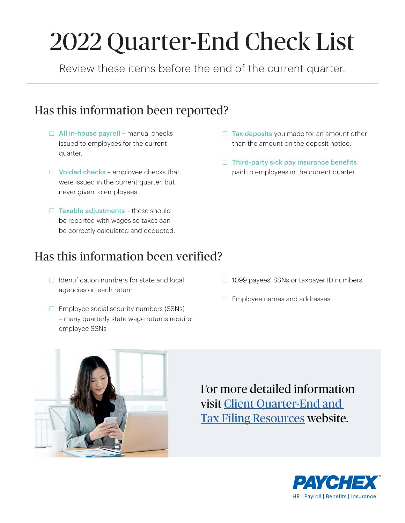# 2022 Quarter-End Check List

Review these items before the end of the current quarter.

## Has this information been reported?

- $\Box$  All in-house payroll manual checks issued to employees for the current quarter.
- $\Box$  Voided checks employee checks that were issued in the current quarter, but never given to employees.
- $\Box$  Taxable adjustments these should be reported with wages so taxes can be correctly calculated and deducted.

## Has this information been verified?

- □ Identification numbers for state and local agencies on each return
- $\Box$  Employee social security numbers (SSNs) – many quarterly state wage returns require employee SSNs
- $\Box$  Tax deposits you made for an amount other than the amount on the deposit notice.
- $\Box$  Third-party sick pay insurance benefits paid to employees in the current quarter.

- □ 1099 payees' SSNs or taxpayer ID numbers
- $\Box$  Employee names and addresses



For more detailed information visit [Client Quarter-End and](https://go.paychex.com/tax-filing)  [Tax Filing Resources](https://go.paychex.com/tax-filing) website.